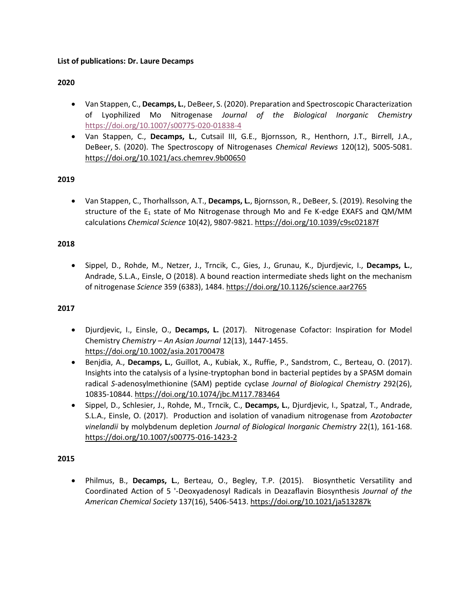# **List of publications: Dr. Laure Decamps**

# **2020**

- Van Stappen, C., **Decamps, L.**, DeBeer, S. (2020). Preparation and Spectroscopic Characterization of Lyophilized Mo Nitrogenase *Journal of the Biological Inorganic Chemistry* <https://doi.org/10.1007/s00775-020-01838-4>
- Van Stappen, C., **Decamps, L.**, Cutsail III, G.E., Bjornsson, R., Henthorn, J.T., Birrell, J.A., DeBeer, S. (2020). The Spectroscopy of Nitrogenases *Chemical Reviews* 120(12), 5005-5081. <https://doi.org/10.1021/acs.chemrev.9b00650>

# **2019**

• Van Stappen, C., Thorhallsson, A.T., **Decamps, L.**, Bjornsson, R., DeBeer, S. (2019). Resolving the structure of the  $E_1$  state of Mo Nitrogenase through Mo and Fe K-edge EXAFS and QM/MM calculations *Chemical Science* 10(42), 9807-9821.<https://doi.org/10.1039/c9sc02187f>

### **2018**

• Sippel, D., Rohde, M., Netzer, J., Trncik, C., Gies, J., Grunau, K., Djurdjevic, I., **Decamps, L.**, Andrade, S.L.A., Einsle, O (2018). A bound reaction intermediate sheds light on the mechanism of nitrogenase *Science* 359 (6383), 1484. <https://doi.org/10.1126/science.aar2765>

### **2017**

- Djurdjevic, I., Einsle, O., **Decamps, L.** (2017). Nitrogenase Cofactor: Inspiration for Model Chemistry *Chemistry – An Asian Journal* 12(13), 1447-1455. <https://doi.org/10.1002/asia.201700478>
- Benjdia, A., **Decamps, L.**, Guillot, A., Kubiak, X., Ruffie, P., Sandstrom, C., Berteau, O. (2017). Insights into the catalysis of a lysine-tryptophan bond in bacterial peptides by a SPASM domain radical *S*-adenosylmethionine (SAM) peptide cyclase *Journal of Biological Chemistry* 292(26), 10835-10844[. https://doi.org/10.1074/jbc.M117.783464](https://doi.org/10.1074/jbc.M117.783464)
- Sippel, D., Schlesier, J., Rohde, M., Trncik, C., **Decamps, L.**, Djurdjevic, I., Spatzal, T., Andrade, S.L.A., Einsle, O. (2017). Production and isolation of vanadium nitrogenase from *Azotobacter vinelandii* by molybdenum depletion *Journal of Biological Inorganic Chemistry* 22(1), 161-168. <https://doi.org/10.1007/s00775-016-1423-2>

### **2015**

• Philmus, B., **Decamps, L.**, Berteau, O., Begley, T.P. (2015). Biosynthetic Versatility and Coordinated Action of 5 '-Deoxyadenosyl Radicals in Deazaflavin Biosynthesis *Journal of the American Chemical Society* 137(16), 5406-5413.<https://doi.org/10.1021/ja513287k>